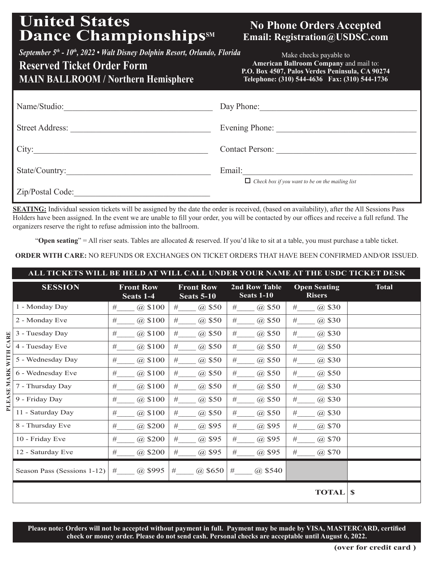# **United States** Dance Championships<sup>SM</sup>

## **No Phone Orders Accepted Email: Registration@USDSC.com**

*September 5th - 10th, 2022 • Walt Disney Dolphin Resort, Orlando, Florida*

## **Reserved Ticket Order Form MAIN BALLROOM / Northern Hemisphere**

Make checks payable to **American Ballroom Company** and mail to: **P.O. Box 4507, Palos Verdes Peninsula, CA 90274 Telephone: (310) 544-4636 Fax: (310) 544-1736**

| Name/Studio:           | Day Phone:                                             |
|------------------------|--------------------------------------------------------|
| <b>Street Address:</b> | Evening Phone:                                         |
| City:                  | <b>Contact Person:</b>                                 |
| State/Country:         | Email:                                                 |
| Zip/Postal Code:       | $\Box$ Check box if you want to be on the mailing list |

**SEATING:** Individual session tickets will be assigned by the date the order is received, (based on availability), after the All Sessions Pass Holders have been assigned. In the event we are unable to fill your order, you will be contacted by our offices and receive a full refund. The organizers reserve the right to refuse admission into the ballroom.

"**Open seating**" = All riser seats. Tables are allocated & reserved. If you'd like to sit at a table, you must purchase a table ticket.

**ORDER WITH CARE:** NO REFUNDS OR EXCHANGES ON TICKET ORDERS THAT HAVE BEEN CONFIRMED AND/OR ISSUED.

| ALL TICKETS WILL BE HELD AT WILL CALL UNDER YOUR NAME AT T <u>HE USDC TICKET DESK</u> |                             |                               |                                       |                             |                                      |              |  |  |
|---------------------------------------------------------------------------------------|-----------------------------|-------------------------------|---------------------------------------|-----------------------------|--------------------------------------|--------------|--|--|
|                                                                                       | <b>SESSION</b>              | <b>Front Row</b><br>Seats 1-4 | <b>Front Row</b><br><b>Seats 5-10</b> | 2nd Row Table<br>Seats 1-10 | <b>Open Seating</b><br><b>Risers</b> | <b>Total</b> |  |  |
| PLEASE MARK WITH CARE                                                                 | 1 - Monday Day              | @\$100<br>#                   | #<br>@\$50                            | #<br>@\$50                  | @ \$30<br>#                          |              |  |  |
|                                                                                       | 2 - Monday Eve              | @ \$100<br>#                  | #<br>@\$50                            | #<br>@\$50                  | $\#$<br>@\$30                        |              |  |  |
|                                                                                       | 3 - Tuesday Day             | @ \$100<br>#                  | #<br>@\$50                            | #<br>@ \$50                 | $\#$<br>@\$30                        |              |  |  |
|                                                                                       | 4 - Tuesday Eve             | #<br>@\$100                   | #<br>@\$50                            | #<br>@\$50                  | #<br>@\$50                           |              |  |  |
|                                                                                       | 5 - Wednesday Day           | #<br>@ \$100                  | #<br>@\$50                            | #<br>@\$50                  | #<br>@ \$30                          |              |  |  |
|                                                                                       | 6 - Wednesday Eve           | #<br>(a) \$100                | #<br>@\$50                            | #<br>@\$50                  | $\#$<br>$(a)$ \$50                   |              |  |  |
|                                                                                       | 7 - Thursday Day            | $\#$<br>@ \$100               | #<br>@\$50                            | $\#$<br>@\$50               | $\#$<br>@ \$30                       |              |  |  |
|                                                                                       | 9 - Friday Day              | @ \$100<br>#                  | @\$50<br>#                            | #<br>@\$50                  | $\#$<br>@ \$30                       |              |  |  |
|                                                                                       | 11 - Saturday Day           | @ \$100<br>#                  | #<br>@\$50                            | #<br>@ \$50                 | $\#$<br>@ \$30                       |              |  |  |
|                                                                                       | 8 - Thursday Eve            | @\$200<br>#                   | @\$95<br>#                            | @\$95<br>#                  | #<br>@\$70                           |              |  |  |
|                                                                                       | 10 - Friday Eve             | #<br>$(a)$ \$200              | @\$95<br>#                            | $\#$<br>@\$95               | #<br>@\$70                           |              |  |  |
|                                                                                       | 12 - Saturday Eve           | #<br>@\$200                   | #<br>@\$95                            | #<br>@\$95                  | $\#$<br>@\$70                        |              |  |  |
|                                                                                       | Season Pass (Sessions 1-12) | $(a)$ \$995<br>#              | (a) \$650<br>#                        | #<br>$(a)$ \$540            |                                      |              |  |  |
|                                                                                       |                             |                               |                                       |                             | <b>TOTAL</b>                         | $\mathbf S$  |  |  |